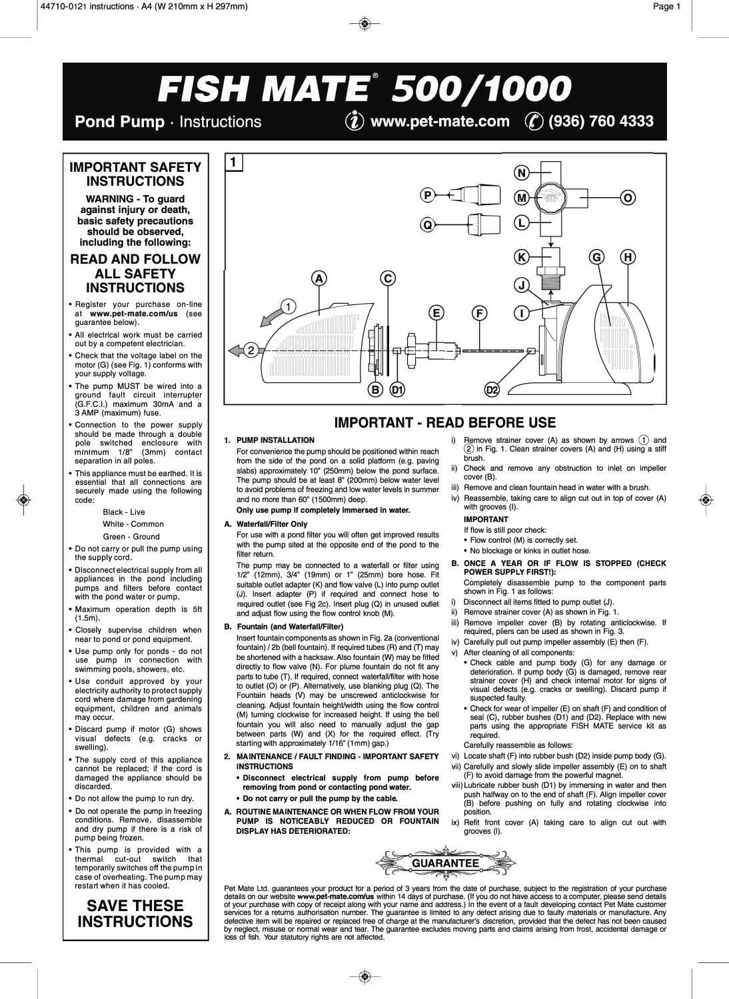$\mathbf{I}$ 

# *FISH MATE® 500/1000*

**Pond Pump** · Instructions *C***<sub>2</sub>** *C***<sub>2</sub> www.pet-mate.com** *C*<sub>2</sub> (936) 760 4333

# **IMPORTANT SAFETY INSTRUCTIONS**

**WARNING - To guard against injury or death, basic safety precautions should be observed, including the following:** 

# **READ AND FOLLOW ALL SAFETY INSTRUCTIONS**

- Register your purchase on-line at **www.pet-mate.com/us** (see guarantee below).
- All electrical work must be carried out by a competent electrician.
- Check that the voltage label on the motor (G) (see Fig. 1) conforms with your supply voltage.
- The pump MUST be wired into a ground fault circuit interrupter (G.F.C.I.) maximum 30mA and a 3 AMP (maximum) fuse.
- Connection to the power supply should be made through a double pole switched enclosure with minimum 1/8" (3mm) contact separation in all poles.
- This appliance must be earthed. It is essential that all connections are securely made using the following code:

Black - Live

#### White - Common

- Green Ground
- Do not carry or pull the pump using the supply cord.
- Disconnect electrical supply from all appliances in the pond including pumps and filters before contact with the pond water or pump.
- Maximum operation depth is 5ft (1.5m).
- Closely supervise children when near to pond or pond equipment.
- Use pump only for ponds do not use pump in connection with swimming pools, showers, etc.
- Use conduit approved by your electricity authority to protect supply cord where damage from gardening equipment, children and animals may occur.
- Discard pump if motor (G) shows visual defects (e.g. cracks or swelling).
- The supply cord of this appliance cannot be replaced; if the cord is damaged the appliance should be discarded.
- Do not allow the pump to run dry.
- Do not operate the pump in freezing conditions. Remove, disassemble and dry pump if there is a risk of pump being frozen.
- This pump is provided with a thermal cut-out switch that temporarily switches off the pump in case of overheating. The pump may restart when it has cooled.

# **SAVE THESE INSTRUCTIONS**



# **IMPORTANT - READ BEFORE USE**

#### **1. PUMP INSTALLATION**

For convenience the pump should be positioned within reach from the side of the pond on a solid platform (e.g. paving slabs) approximately 10" (250mm) below the pond surface. The pump should be at least 8" (200mm) below water level to avoid problems of freezing and low water levels in summer and no more than 60" (1500mm) deep.

#### **Only use pump if completely immersed in water.**

## **A. Waterfall/Filter Only**

For use with a pond filter you will often get improved results with the pump sited at the opposite end of the pond to the filter return.

The pump may be connected to a waterfall or filter using 1/2" (12mm), 3/4" (19mm) or 1" (25mm) bore hose. Fit suitable outlet adapter **(K)** and flow valve (L) into pump outlet (J). Insert adapter (P) **if** required and connect hose to required outlet (see Fig 2c). Insert plug (Q) in unused outlet and adjust flow using the flow control knob **(M).** 

### **B. Fountain (and Waterfall/Filter)**

Insert fountain components as shown in Fig. 2a (conventional fountain) / 2b (bell fountain). If required tubes (R) and (T) may be shortened with a hacksaw. Also fountain (W) may be fitted directly to flow valve (N). For plume fountain do not fit any parts to tube (T). If required, connect waterfall/filter with hose to outlet (0) or (P). Alternatively, use blanking plug (Q). The Fountain heads (V) may be unscrewed anticlockwise for cleaning. Adjust fountain heighl/width using the flow control (M) turning clockwise for increased height. If using the bell fountain you will also need to manually adjust the gap between parts **(W)** and (X) for the required effect. (Try starting with approximately 1/16" (1mm) gap.)

- **2. MAINTENANCE / FAULT FINDING - IMPORTANT SAFETY INSTRUCTIONS** 
	- **Disconnect electrical supply from pump before removing from pond or contacting pond water.**
	- **Do not carry or pull the pump by the cable.**
- **A. ROUTINE MAINTENANCE OR WHEN FLOW FROM YOUR PUMP IS NOTICEABLY REDUCED OR FOUNTAIN DISPLAY HAS DETERIORATED:**
- i) Remove strainer cover (A) as shown by arrows (1) and (2) in Fig. 1. Clean strainer covers (A) and (H) using a stiff brush.
- Check and remove any obstruction to inlet on impeller cover (B).
- iii) Remove and clean fountain head in water with a brush.
- iv) Reassemble, taking care to align cut out in top of cover (A) with grooves (I).

# **IMPORTANT**

- If flow is still poor check:
- Flow control (M) is correctly set.
- No blockage or kinks in outlet hose.
- **B. ONCE A YEAR OR IF FLOW IS STOPPED (CHECK POWER SUPPLY FIRST!):**

Completely disassemble pump to the component parts shown in Fig. 1 as follows:

- i) Disconnect all items fitted to pump outlet (J).
- Remove strainer cover (A) as shown in Fig. 1.
- iii) Remove impeller cover (B) by rotating anticlockwise. If required, pliers can be used as shown in Fig. 3.
- iv) Carefully pull out pump impeller assembly (E) then (F).
- v) After cleaning of all components:
	- Check cable and pump body (G) for any damage or deterioration. If pump body (G) is damaged, remove rear strainer cover (H) and check internal motor for signs of visual defects (e.g. cracks or swelling). Discard pump if suspected faulty.
	- Check for wear of impeller (E) on shaft (F) and condition of seal (C), rubber bushes (D1) and (D2). Replace with new parts using the appropriate FISH MATE service kit as required.

Carefully reassemble as follows:

- vi) Locate shaft (F) into rubber bush (D2) inside pump body (G). **vii)** Carefully and slowly slide impeller assembly (E) on to shaft (F) to avoid damage from the powerful magnet.
- **viii)** Lubricate rubber bush (D1) by immersing in water and then push halfway on to the end of shaft (F). Align impeller cover (B) before pushing on fully and rotating clockwise into position.
- ix) Refit front cover (A) taking care to align cut out with grooves (I).



Pet Mate Ltd. guarantees your product for a period of 3 years from the date of purchase, subject to the registration of your purchase<br>details on our website www.pet-mate.com/us within 14 days of purchase. (If you do not ha defective item will be repaired or replaced free of charge at the manufacturer's discretion, provided that the defect has not been caused<br>by neglect, misuse or normal wear and tear. The guarantee excludes moving parts and loss of fish. Your statutory rights are not affected.